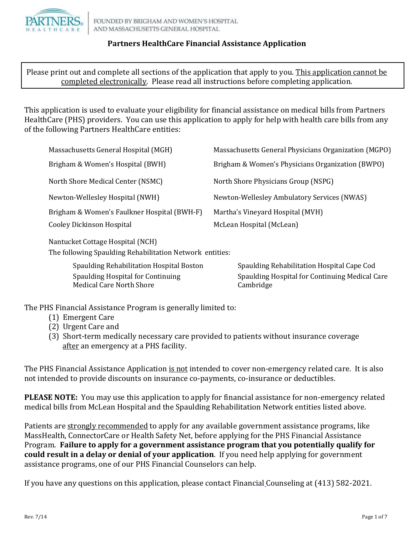

Please print out and complete all sections of the application that apply to you. This application cannot be completed electronically. Please read all instructions before completing application.

This application is used to evaluate your eligibility for financial assistance on medical bills from Partners HealthCare (PHS) providers. You can use this application to apply for help with health care bills from any of the following Partners HealthCare entities:

| Massachusetts General Hospital (MGH)        | Massachusetts General Physicians Organization (MGPO) |
|---------------------------------------------|------------------------------------------------------|
| Brigham & Women's Hospital (BWH)            | Brigham & Women's Physicians Organization (BWPO)     |
| North Shore Medical Center (NSMC)           | North Shore Physicians Group (NSPG)                  |
| Newton-Wellesley Hospital (NWH)             | Newton-Wellesley Ambulatory Services (NWAS)          |
| Brigham & Women's Faulkner Hospital (BWH-F) | Martha's Vineyard Hospital (MVH)                     |
| <b>Cooley Dickinson Hospital</b>            | McLean Hospital (McLean)                             |
|                                             |                                                      |

Nantucket Cottage Hospital (NCH)

The following Spaulding Rehabilitation Network entities:

| Spaulding Rehabilitation Hospital Boston | Spaulding Rehabilitation Hospital Cape Cod     |
|------------------------------------------|------------------------------------------------|
| Spaulding Hospital for Continuing        | Spaulding Hospital for Continuing Medical Care |
| Medical Care North Shore                 | Cambridge                                      |

The PHS Financial Assistance Program is generally limited to:

- (1) Emergent Care
- (2) Urgent Care and
- (3) Short-term medically necessary care provided to patients without insurance coverage after an emergency at a PHS facility.

The PHS Financial Assistance Application is not intended to cover non-emergency related care. It is also not intended to provide discounts on insurance co-payments, co-insurance or deductibles.

**PLEASE NOTE:** You may use this application to apply for financial assistance for non-emergency related medical bills from McLean Hospital and the Spaulding Rehabilitation Network entities listed above.

Patients are strongly recommended to apply for any available government assistance programs, like MassHealth, ConnectorCare or Health Safety Net, before applying for the PHS Financial Assistance Program. **Failure to apply for a government assistance program that you potentially qualify for could result in a delay or denial of your application**. If you need help applying for government assistance programs, one of our PHS Financial Counselors can help.

If you have any questions on this application, please contact Financial Counseling at (413) 582-2021.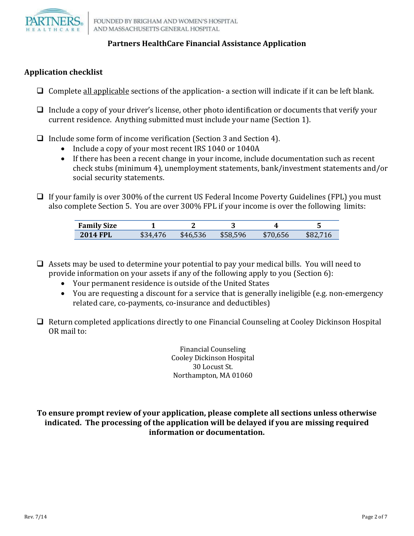

# **Application checklist**

- $\Box$  Complete all applicable sections of the application- a section will indicate if it can be left blank.
- $\Box$  Include a copy of your driver's license, other photo identification or documents that verify your current residence. Anything submitted must include your name (Section 1).
- $\Box$  Include some form of income verification (Section 3 and Section 4).
	- Include a copy of your most recent IRS 1040 or 1040A
	- If there has been a recent change in your income, include documentation such as recent check stubs (minimum 4), unemployment statements, bank/investment statements and/or social security statements.
- $\Box$  If your family is over 300% of the current US Federal Income Poverty Guidelines (FPL) you must also complete Section 5. You are over 300% FPL if your income is over the following limits:

| <b>Family Size</b> |                |      |                |           |     |
|--------------------|----------------|------|----------------|-----------|-----|
| <b>2014 FPL</b>    | $\overline{ }$ | \$46 | 8.596<br>85X ' | 5C<br>−Φ. | ՖԾ∠ |

- $\Box$  Assets may be used to determine your potential to pay your medical bills. You will need to provide information on your assets if any of the following apply to you (Section 6):
	- Your permanent residence is outside of the United States
	- You are requesting a discount for a service that is generally ineligible (e.g. non-emergency related care, co-payments, co-insurance and deductibles)
- $\Box$  Return completed applications directly to one Financial Counseling at Cooley Dickinson Hospital OR mail to:

Financial Counseling Cooley Dickinson Hospital 30 Locust St. Northampton, MA 01060

## **To ensure prompt review of your application, please complete all sections unless otherwise indicated. The processing of the application will be delayed if you are missing required information or documentation.**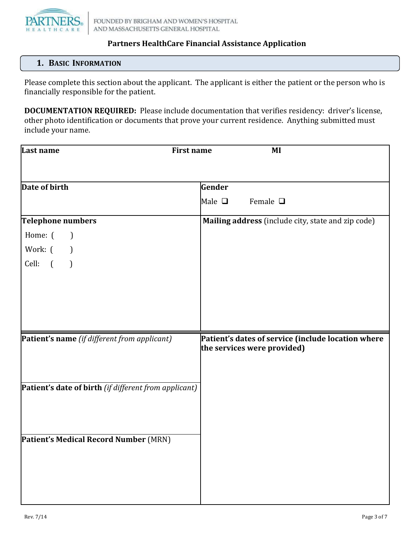

# **1. BASIC INFORMATION**

Please complete this section about the applicant. The applicant is either the patient or the person who is financially responsible for the patient.

**DOCUMENTATION REQUIRED:** Please include documentation that verifies residency: driver's license, other photo identification or documents that prove your current residence. Anything submitted must include your name.

| Last name                                             | <b>First name</b><br>MI                                                           |
|-------------------------------------------------------|-----------------------------------------------------------------------------------|
|                                                       |                                                                                   |
| Date of birth                                         | Gender                                                                            |
|                                                       | Male $\Box$<br>Female $\square$                                                   |
| Telephone numbers                                     | Mailing address (include city, state and zip code)                                |
| Home: (<br>$\overline{\phantom{a}}$                   |                                                                                   |
| Work: (<br>$\mathcal{L}$                              |                                                                                   |
| Cell:<br>$\sqrt{ }$<br>$\mathcal{L}$                  |                                                                                   |
|                                                       |                                                                                   |
|                                                       |                                                                                   |
|                                                       |                                                                                   |
|                                                       |                                                                                   |
| Patient's name (if different from applicant)          | Patient's dates of service (include location where<br>the services were provided) |
|                                                       |                                                                                   |
|                                                       |                                                                                   |
| Patient's date of birth (if different from applicant) |                                                                                   |
|                                                       |                                                                                   |
|                                                       |                                                                                   |
|                                                       |                                                                                   |
| Patient's Medical Record Number (MRN)                 |                                                                                   |
|                                                       |                                                                                   |
|                                                       |                                                                                   |
|                                                       |                                                                                   |
|                                                       |                                                                                   |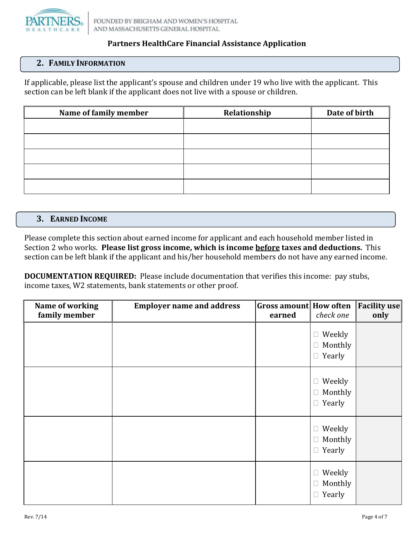

# **2. FAMILY INFORMATION**

If applicable, please list the applicant's spouse and children under 19 who live with the applicant. This section can be left blank if the applicant does not live with a spouse or children.

| Name of family member | Relationship | Date of birth |
|-----------------------|--------------|---------------|
|                       |              |               |
|                       |              |               |
|                       |              |               |
|                       |              |               |
|                       |              |               |
|                       |              |               |

#### **3. EARNED INCOME**

Please complete this section about earned income for applicant and each household member listed in Section 2 who works. **Please list gross income, which is income before taxes and deductions.** This section can be left blank if the applicant and his/her household members do not have any earned income.

**DOCUMENTATION REQUIRED:** Please include documentation that verifies this income: pay stubs, income taxes, W2 statements, bank statements or other proof.

| Name of working<br>family member | <b>Employer name and address</b> | <b>Gross amount How often</b><br>earned | check one                                              | <b>Facility use</b><br>only |
|----------------------------------|----------------------------------|-----------------------------------------|--------------------------------------------------------|-----------------------------|
|                                  |                                  |                                         | Weekly<br>$\Box$<br>Monthly<br>$\Box$<br>$\Box$ Yearly |                             |
|                                  |                                  |                                         | $\Box$ Weekly<br>Monthly<br>$\Box$<br>$\Box$ Yearly    |                             |
|                                  |                                  |                                         | $\Box$ Weekly<br>$\Box$ Monthly<br>$\Box$ Yearly       |                             |
|                                  |                                  |                                         | $\Box$ Weekly<br>Monthly<br>$\Box$<br>$\Box$ Yearly    |                             |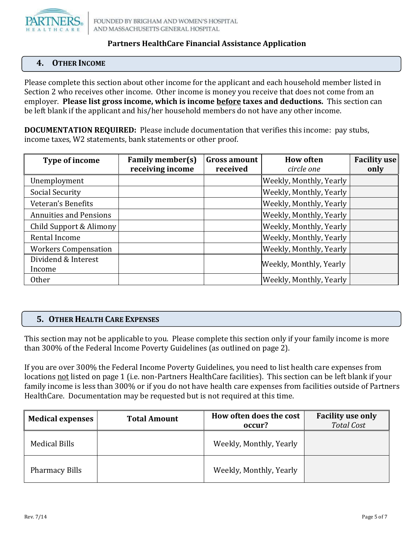

# **4. OTHER INCOME**

Please complete this section about other income for the applicant and each household member listed in Section 2 who receives other income. Other income is money you receive that does not come from an employer. **Please list gross income, which is income before taxes and deductions.** This section can be left blank if the applicant and his/her household members do not have any other income.

**DOCUMENTATION REQUIRED:** Please include documentation that verifies this income: pay stubs, income taxes, W2 statements, bank statements or other proof.

| Type of income                | <b>Family member(s)</b> | <b>Gross amount</b> | <b>How often</b>        | <b>Facility use</b> |
|-------------------------------|-------------------------|---------------------|-------------------------|---------------------|
|                               | receiving income        | received            | circle one              | only                |
| Unemployment                  |                         |                     | Weekly, Monthly, Yearly |                     |
| Social Security               |                         |                     | Weekly, Monthly, Yearly |                     |
| Veteran's Benefits            |                         |                     | Weekly, Monthly, Yearly |                     |
| <b>Annuities and Pensions</b> |                         |                     | Weekly, Monthly, Yearly |                     |
| Child Support & Alimony       |                         |                     | Weekly, Monthly, Yearly |                     |
| Rental Income                 |                         |                     | Weekly, Monthly, Yearly |                     |
| <b>Workers Compensation</b>   |                         |                     | Weekly, Monthly, Yearly |                     |
| Dividend & Interest           |                         |                     | Weekly, Monthly, Yearly |                     |
| Income                        |                         |                     |                         |                     |
| <b>Other</b>                  |                         |                     | Weekly, Monthly, Yearly |                     |

## **5. OTHER HEALTH CARE EXPENSES**

This section may not be applicable to you. Please complete this section only if your family income is more than 300% of the Federal Income Poverty Guidelines (as outlined on page 2).

If you are over 300% the Federal Income Poverty Guidelines, you need to list health care expenses from locations not listed on page 1 (i.e. non-Partners HealthCare facilities). This section can be left blank if your family income is less than 300% or if you do not have health care expenses from facilities outside of Partners HealthCare. Documentation may be requested but is not required at this time.

| <b>Medical expenses</b> | <b>Total Amount</b> | How often does the cost<br>occur? | <b>Facility use only</b><br><b>Total Cost</b> |
|-------------------------|---------------------|-----------------------------------|-----------------------------------------------|
| Medical Bills           |                     | Weekly, Monthly, Yearly           |                                               |
| <b>Pharmacy Bills</b>   |                     | Weekly, Monthly, Yearly           |                                               |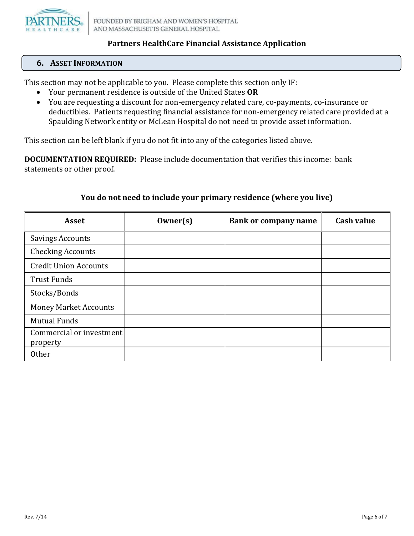

## **6. ASSET INFORMATION**

This section may not be applicable to you. Please complete this section only IF:

- Your permanent residence is outside of the United States **OR**
- You are requesting a discount for non-emergency related care, co-payments, co-insurance or deductibles. Patients requesting financial assistance for non-emergency related care provided at a Spaulding Network entity or McLean Hospital do not need to provide asset information.

This section can be left blank if you do not fit into any of the categories listed above.

**DOCUMENTATION REQUIRED:** Please include documentation that verifies this income: bank statements or other proof.

| <b>Asset</b>                         | $0$ wner $(s)$ | <b>Bank or company name</b> | <b>Cash value</b> |
|--------------------------------------|----------------|-----------------------------|-------------------|
| <b>Savings Accounts</b>              |                |                             |                   |
| <b>Checking Accounts</b>             |                |                             |                   |
| <b>Credit Union Accounts</b>         |                |                             |                   |
| <b>Trust Funds</b>                   |                |                             |                   |
| Stocks/Bonds                         |                |                             |                   |
| <b>Money Market Accounts</b>         |                |                             |                   |
| <b>Mutual Funds</b>                  |                |                             |                   |
| Commercial or investment<br>property |                |                             |                   |
| <b>Other</b>                         |                |                             |                   |

# **You do not need to include your primary residence (where you live)**